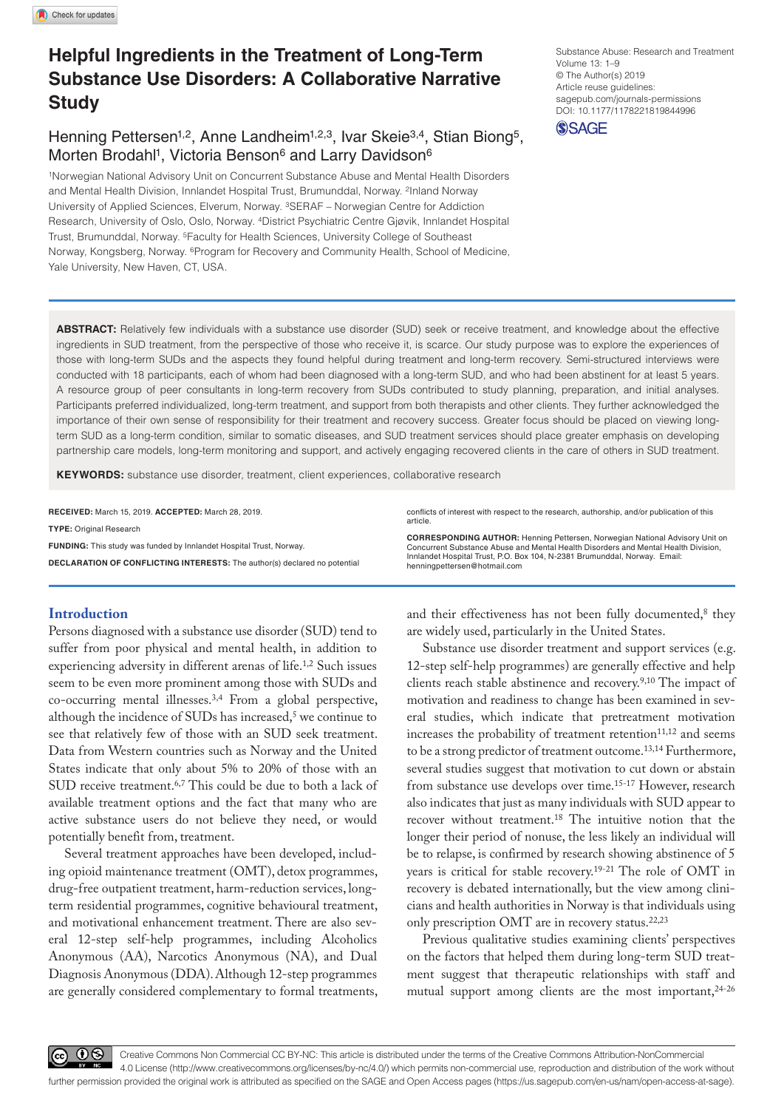# **Helpful Ingredients in the Treatment of Long-Term Substance Use Disorders: A Collaborative Narrative Study**

## Henning Pettersen<sup>1,2</sup>, Anne Landheim<sup>1,2,3</sup>, Ivar Skeie<sup>3,4</sup>, Stian Biong<sup>5</sup>, Morten Brodahl<sup>1</sup>, Victoria Benson<sup>6</sup> and Larry Davidson<sup>6</sup>

1Norwegian National Advisory Unit on Concurrent Substance Abuse and Mental Health Disorders and Mental Health Division, Innlandet Hospital Trust, Brumunddal, Norway. 2Inland Norway University of Applied Sciences, Elverum, Norway. 3SERAF – Norwegian Centre for Addiction Research, University of Oslo, Oslo, Norway. 4District Psychiatric Centre Gjøvik, Innlandet Hospital Trust, Brumunddal, Norway. 5Faculty for Health Sciences, University College of Southeast Norway, Kongsberg, Norway. 6Program for Recovery and Community Health, School of Medicine, Yale University, New Haven, CT, USA.

DOI: 10.1177/1178221819844996 Substance Abuse: Research and Treatment Volume 13: 1–9 © The Author(s) 2019 Article reuse guidelines: [sagepub.com/journals-permissions](https://uk.sagepub.com/en-gb/journals-permissions)



**ABSTRACT:** Relatively few individuals with a substance use disorder (SUD) seek or receive treatment, and knowledge about the effective ingredients in SUD treatment, from the perspective of those who receive it, is scarce. Our study purpose was to explore the experiences of those with long-term SUDs and the aspects they found helpful during treatment and long-term recovery. Semi-structured interviews were conducted with 18 participants, each of whom had been diagnosed with a long-term SUD, and who had been abstinent for at least 5 years. A resource group of peer consultants in long-term recovery from SUDs contributed to study planning, preparation, and initial analyses. Participants preferred individualized, long-term treatment, and support from both therapists and other clients. They further acknowledged the importance of their own sense of responsibility for their treatment and recovery success. Greater focus should be placed on viewing longterm SUD as a long-term condition, similar to somatic diseases, and SUD treatment services should place greater emphasis on developing partnership care models, long-term monitoring and support, and actively engaging recovered clients in the care of others in SUD treatment.

**Keywords:** substance use disorder, treatment, client experiences, collaborative research

**RECEIVED:** March 15, 2019. **ACCEPTED:** March 28, 2019. **Type:** Original Research **Funding:** This study was funded by Innlandet Hospital Trust, Norway. **DECLARATION OF CONFLICTING INTERESTS:** The author(s) declared no potential conflicts of interest with respect to the research, authorship, and/or publication of this article.

**CORRESPONDING AUTHOR:** Henning Pettersen, Norwegian National Advisory Unit on Concurrent Substance Abuse and Mental Health Disorders and Mental Health Division, Innlandet Hospital Trust, P.O. Box 104, N-2381 Brumunddal, Norway. Email: [henningpettersen@hotmail.com](mailto:henningpettersen@hotmail.com)

### **Introduction**

Persons diagnosed with a substance use disorder (SUD) tend to suffer from poor physical and mental health, in addition to experiencing adversity in different arenas of life.1,2 Such issues seem to be even more prominent among those with SUDs and co-occurring mental illnesses.3,4 From a global perspective, although the incidence of SUDs has increased,<sup>5</sup> we continue to see that relatively few of those with an SUD seek treatment. Data from Western countries such as Norway and the United States indicate that only about 5% to 20% of those with an SUD receive treatment.6,7 This could be due to both a lack of available treatment options and the fact that many who are active substance users do not believe they need, or would potentially benefit from, treatment.

Several treatment approaches have been developed, including opioid maintenance treatment (OMT), detox programmes, drug-free outpatient treatment, harm-reduction services, longterm residential programmes, cognitive behavioural treatment, and motivational enhancement treatment. There are also several 12-step self-help programmes, including Alcoholics Anonymous (AA), Narcotics Anonymous (NA), and Dual Diagnosis Anonymous (DDA). Although 12-step programmes are generally considered complementary to formal treatments, and their effectiveness has not been fully documented,<sup>8</sup> they are widely used, particularly in the United States.

Substance use disorder treatment and support services (e.g. 12-step self-help programmes) are generally effective and help clients reach stable abstinence and recovery.9,10 The impact of motivation and readiness to change has been examined in several studies, which indicate that pretreatment motivation increases the probability of treatment retention<sup>11,12</sup> and seems to be a strong predictor of treatment outcome.<sup>13,14</sup> Furthermore, several studies suggest that motivation to cut down or abstain from substance use develops over time.<sup>15-17</sup> However, research also indicates that just as many individuals with SUD appear to recover without treatment.18 The intuitive notion that the longer their period of nonuse, the less likely an individual will be to relapse, is confirmed by research showing abstinence of 5 years is critical for stable recovery.19-21 The role of OMT in recovery is debated internationally, but the view among clinicians and health authorities in Norway is that individuals using only prescription OMT are in recovery status. $22,23$ 

Previous qualitative studies examining clients' perspectives on the factors that helped them during long-term SUD treatment suggest that therapeutic relationships with staff and mutual support among clients are the most important,  $24-26$ 

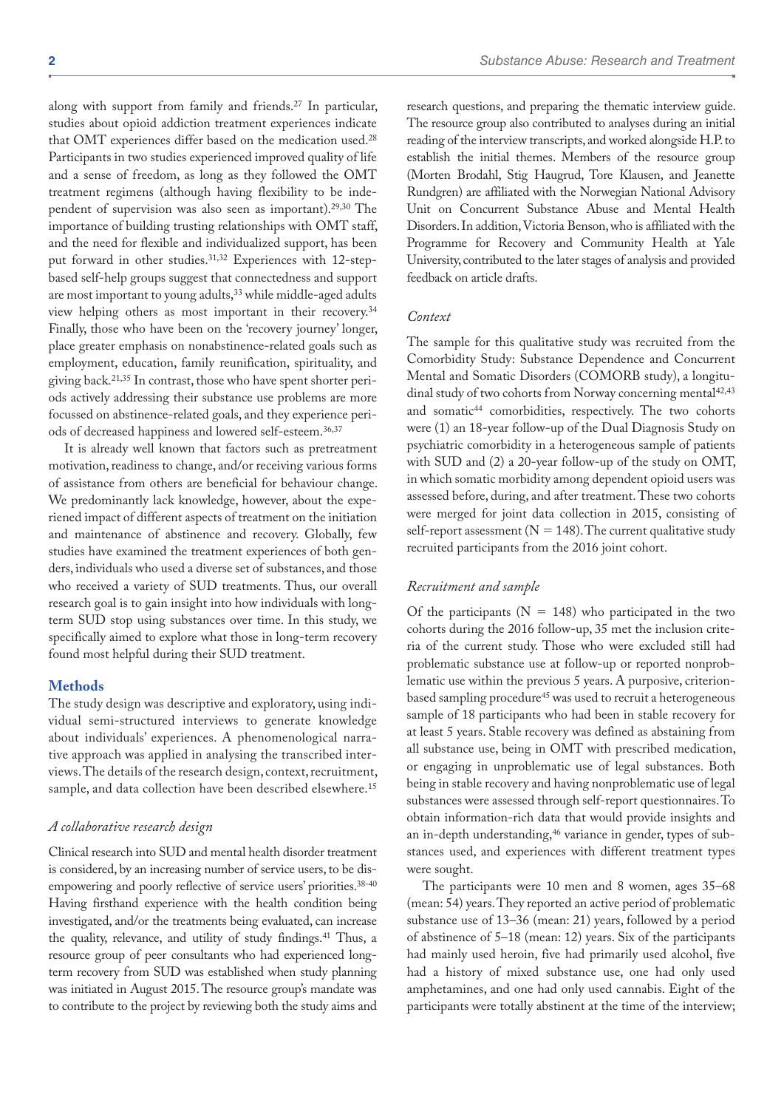along with support from family and friends.27 In particular, studies about opioid addiction treatment experiences indicate that OMT experiences differ based on the medication used.28 Participants in two studies experienced improved quality of life and a sense of freedom, as long as they followed the OMT treatment regimens (although having flexibility to be independent of supervision was also seen as important).29,30 The importance of building trusting relationships with OMT staff, and the need for flexible and individualized support, has been put forward in other studies.<sup>31,32</sup> Experiences with 12-stepbased self-help groups suggest that connectedness and support are most important to young adults,<sup>33</sup> while middle-aged adults view helping others as most important in their recovery.34 Finally, those who have been on the 'recovery journey' longer, place greater emphasis on nonabstinence-related goals such as employment, education, family reunification, spirituality, and giving back.21,35 In contrast, those who have spent shorter periods actively addressing their substance use problems are more focussed on abstinence-related goals, and they experience periods of decreased happiness and lowered self-esteem.36,37

It is already well known that factors such as pretreatment motivation, readiness to change, and/or receiving various forms of assistance from others are beneficial for behaviour change. We predominantly lack knowledge, however, about the experiened impact of different aspects of treatment on the initiation and maintenance of abstinence and recovery. Globally, few studies have examined the treatment experiences of both genders, individuals who used a diverse set of substances, and those who received a variety of SUD treatments. Thus, our overall research goal is to gain insight into how individuals with longterm SUD stop using substances over time. In this study, we specifically aimed to explore what those in long-term recovery found most helpful during their SUD treatment.

#### **Methods**

The study design was descriptive and exploratory, using individual semi-structured interviews to generate knowledge about individuals' experiences. A phenomenological narrative approach was applied in analysing the transcribed interviews. The details of the research design, context, recruitment, sample, and data collection have been described elsewhere.15

#### *A collaborative research design*

Clinical research into SUD and mental health disorder treatment is considered, by an increasing number of service users, to be disempowering and poorly reflective of service users' priorities.38-40 Having firsthand experience with the health condition being investigated, and/or the treatments being evaluated, can increase the quality, relevance, and utility of study findings.41 Thus, a resource group of peer consultants who had experienced longterm recovery from SUD was established when study planning was initiated in August 2015. The resource group's mandate was to contribute to the project by reviewing both the study aims and

research questions, and preparing the thematic interview guide. The resource group also contributed to analyses during an initial reading of the interview transcripts, and worked alongside H.P. to establish the initial themes. Members of the resource group (Morten Brodahl, Stig Haugrud, Tore Klausen, and Jeanette Rundgren) are affiliated with the Norwegian National Advisory Unit on Concurrent Substance Abuse and Mental Health Disorders. In addition, Victoria Benson, who is affiliated with the Programme for Recovery and Community Health at Yale University, contributed to the later stages of analysis and provided feedback on article drafts.

#### *Context*

The sample for this qualitative study was recruited from the Comorbidity Study: Substance Dependence and Concurrent Mental and Somatic Disorders (COMORB study), a longitudinal study of two cohorts from Norway concerning mental<sup>42,43</sup> and somatic<sup>44</sup> comorbidities, respectively. The two cohorts were (1) an 18-year follow-up of the Dual Diagnosis Study on psychiatric comorbidity in a heterogeneous sample of patients with SUD and (2) a 20-year follow-up of the study on OMT, in which somatic morbidity among dependent opioid users was assessed before, during, and after treatment. These two cohorts were merged for joint data collection in 2015, consisting of self-report assessment ( $N = 148$ ). The current qualitative study recruited participants from the 2016 joint cohort.

#### *Recruitment and sample*

Of the participants ( $N = 148$ ) who participated in the two cohorts during the 2016 follow-up, 35 met the inclusion criteria of the current study. Those who were excluded still had problematic substance use at follow-up or reported nonproblematic use within the previous 5 years. A purposive, criterionbased sampling procedure<sup>45</sup> was used to recruit a heterogeneous sample of 18 participants who had been in stable recovery for at least 5 years. Stable recovery was defined as abstaining from all substance use, being in OMT with prescribed medication, or engaging in unproblematic use of legal substances. Both being in stable recovery and having nonproblematic use of legal substances were assessed through self-report questionnaires. To obtain information-rich data that would provide insights and an in-depth understanding,<sup>46</sup> variance in gender, types of substances used, and experiences with different treatment types were sought.

The participants were 10 men and 8 women, ages 35–68 (mean: 54) years. They reported an active period of problematic substance use of 13–36 (mean: 21) years, followed by a period of abstinence of 5–18 (mean: 12) years. Six of the participants had mainly used heroin, five had primarily used alcohol, five had a history of mixed substance use, one had only used amphetamines, and one had only used cannabis. Eight of the participants were totally abstinent at the time of the interview;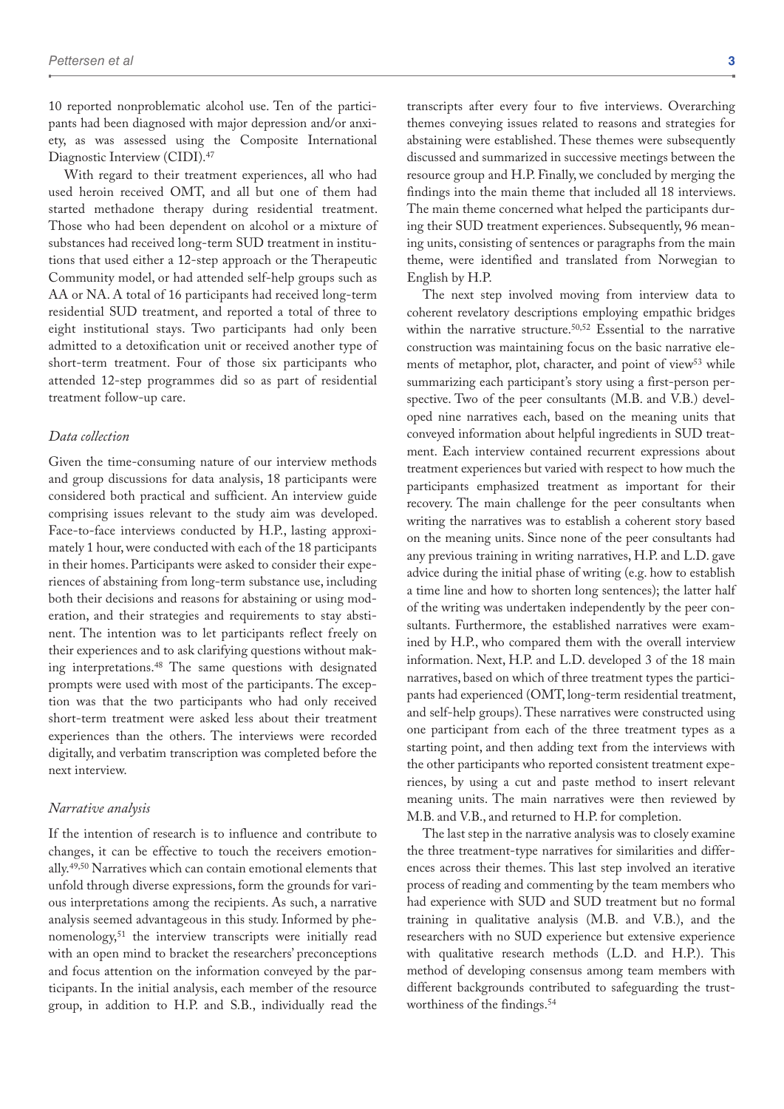10 reported nonproblematic alcohol use. Ten of the participants had been diagnosed with major depression and/or anxiety, as was assessed using the Composite International Diagnostic Interview (CIDI).47

With regard to their treatment experiences, all who had used heroin received OMT, and all but one of them had started methadone therapy during residential treatment. Those who had been dependent on alcohol or a mixture of substances had received long-term SUD treatment in institutions that used either a 12-step approach or the Therapeutic Community model, or had attended self-help groups such as AA or NA. A total of 16 participants had received long-term residential SUD treatment, and reported a total of three to eight institutional stays. Two participants had only been admitted to a detoxification unit or received another type of short-term treatment. Four of those six participants who attended 12-step programmes did so as part of residential treatment follow-up care.

#### *Data collection*

Given the time-consuming nature of our interview methods and group discussions for data analysis, 18 participants were considered both practical and sufficient. An interview guide comprising issues relevant to the study aim was developed. Face-to-face interviews conducted by H.P., lasting approximately 1 hour, were conducted with each of the 18 participants in their homes. Participants were asked to consider their experiences of abstaining from long-term substance use, including both their decisions and reasons for abstaining or using moderation, and their strategies and requirements to stay abstinent. The intention was to let participants reflect freely on their experiences and to ask clarifying questions without making interpretations.48 The same questions with designated prompts were used with most of the participants. The exception was that the two participants who had only received short-term treatment were asked less about their treatment experiences than the others. The interviews were recorded digitally, and verbatim transcription was completed before the next interview.

#### *Narrative analysis*

If the intention of research is to influence and contribute to changes, it can be effective to touch the receivers emotionally.49,50 Narratives which can contain emotional elements that unfold through diverse expressions, form the grounds for various interpretations among the recipients. As such, a narrative analysis seemed advantageous in this study. Informed by phenomenology,51 the interview transcripts were initially read with an open mind to bracket the researchers' preconceptions and focus attention on the information conveyed by the participants. In the initial analysis, each member of the resource group, in addition to H.P. and S.B., individually read the

transcripts after every four to five interviews. Overarching themes conveying issues related to reasons and strategies for abstaining were established. These themes were subsequently discussed and summarized in successive meetings between the resource group and H.P. Finally, we concluded by merging the findings into the main theme that included all 18 interviews. The main theme concerned what helped the participants during their SUD treatment experiences. Subsequently, 96 meaning units, consisting of sentences or paragraphs from the main theme, were identified and translated from Norwegian to English by H.P.

The next step involved moving from interview data to coherent revelatory descriptions employing empathic bridges within the narrative structure.<sup>50,52</sup> Essential to the narrative construction was maintaining focus on the basic narrative elements of metaphor, plot, character, and point of view<sup>53</sup> while summarizing each participant's story using a first-person perspective. Two of the peer consultants (M.B. and V.B.) developed nine narratives each, based on the meaning units that conveyed information about helpful ingredients in SUD treatment. Each interview contained recurrent expressions about treatment experiences but varied with respect to how much the participants emphasized treatment as important for their recovery. The main challenge for the peer consultants when writing the narratives was to establish a coherent story based on the meaning units. Since none of the peer consultants had any previous training in writing narratives, H.P. and L.D. gave advice during the initial phase of writing (e.g. how to establish a time line and how to shorten long sentences); the latter half of the writing was undertaken independently by the peer consultants. Furthermore, the established narratives were examined by H.P., who compared them with the overall interview information. Next, H.P. and L.D. developed 3 of the 18 main narratives, based on which of three treatment types the participants had experienced (OMT, long-term residential treatment, and self-help groups). These narratives were constructed using one participant from each of the three treatment types as a starting point, and then adding text from the interviews with the other participants who reported consistent treatment experiences, by using a cut and paste method to insert relevant meaning units. The main narratives were then reviewed by M.B. and V.B., and returned to H.P. for completion.

The last step in the narrative analysis was to closely examine the three treatment-type narratives for similarities and differences across their themes. This last step involved an iterative process of reading and commenting by the team members who had experience with SUD and SUD treatment but no formal training in qualitative analysis (M.B. and V.B.), and the researchers with no SUD experience but extensive experience with qualitative research methods (L.D. and H.P.). This method of developing consensus among team members with different backgrounds contributed to safeguarding the trustworthiness of the findings.54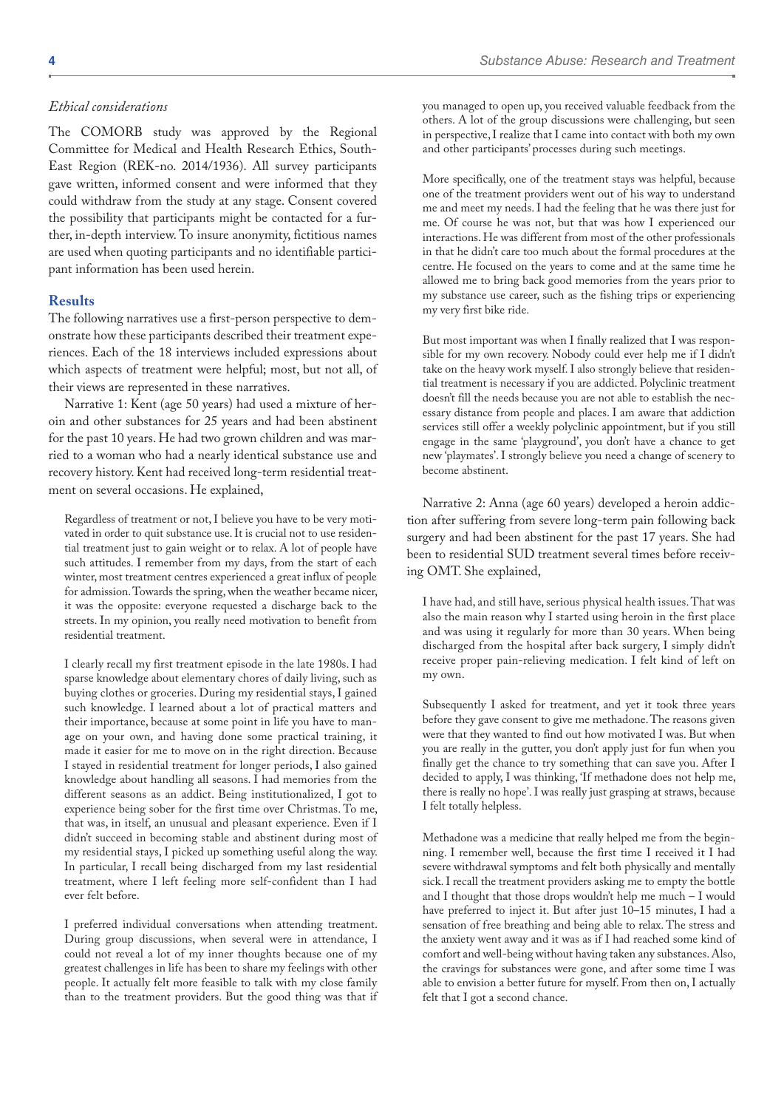#### *Ethical considerations*

The COMORB study was approved by the Regional Committee for Medical and Health Research Ethics, South-East Region (REK-no. 2014/1936). All survey participants gave written, informed consent and were informed that they could withdraw from the study at any stage. Consent covered the possibility that participants might be contacted for a further, in-depth interview. To insure anonymity, fictitious names are used when quoting participants and no identifiable participant information has been used herein.

#### **Results**

The following narratives use a first-person perspective to demonstrate how these participants described their treatment experiences. Each of the 18 interviews included expressions about which aspects of treatment were helpful; most, but not all, of their views are represented in these narratives.

Narrative 1: Kent (age 50 years) had used a mixture of heroin and other substances for 25 years and had been abstinent for the past 10 years. He had two grown children and was married to a woman who had a nearly identical substance use and recovery history. Kent had received long-term residential treatment on several occasions. He explained,

Regardless of treatment or not, I believe you have to be very motivated in order to quit substance use. It is crucial not to use residential treatment just to gain weight or to relax. A lot of people have such attitudes. I remember from my days, from the start of each winter, most treatment centres experienced a great influx of people for admission. Towards the spring, when the weather became nicer, it was the opposite: everyone requested a discharge back to the streets. In my opinion, you really need motivation to benefit from residential treatment.

I clearly recall my first treatment episode in the late 1980s. I had sparse knowledge about elementary chores of daily living, such as buying clothes or groceries. During my residential stays, I gained such knowledge. I learned about a lot of practical matters and their importance, because at some point in life you have to manage on your own, and having done some practical training, it made it easier for me to move on in the right direction. Because I stayed in residential treatment for longer periods, I also gained knowledge about handling all seasons. I had memories from the different seasons as an addict. Being institutionalized, I got to experience being sober for the first time over Christmas. To me, that was, in itself, an unusual and pleasant experience. Even if I didn't succeed in becoming stable and abstinent during most of my residential stays, I picked up something useful along the way. In particular, I recall being discharged from my last residential treatment, where I left feeling more self-confident than I had ever felt before.

I preferred individual conversations when attending treatment. During group discussions, when several were in attendance, I could not reveal a lot of my inner thoughts because one of my greatest challenges in life has been to share my feelings with other people. It actually felt more feasible to talk with my close family than to the treatment providers. But the good thing was that if you managed to open up, you received valuable feedback from the others. A lot of the group discussions were challenging, but seen in perspective, I realize that I came into contact with both my own and other participants' processes during such meetings.

More specifically, one of the treatment stays was helpful, because one of the treatment providers went out of his way to understand me and meet my needs. I had the feeling that he was there just for me. Of course he was not, but that was how I experienced our interactions. He was different from most of the other professionals in that he didn't care too much about the formal procedures at the centre. He focused on the years to come and at the same time he allowed me to bring back good memories from the years prior to my substance use career, such as the fishing trips or experiencing my very first bike ride.

But most important was when I finally realized that I was responsible for my own recovery. Nobody could ever help me if I didn't take on the heavy work myself. I also strongly believe that residential treatment is necessary if you are addicted. Polyclinic treatment doesn't fill the needs because you are not able to establish the necessary distance from people and places. I am aware that addiction services still offer a weekly polyclinic appointment, but if you still engage in the same 'playground', you don't have a chance to get new 'playmates'. I strongly believe you need a change of scenery to become abstinent.

Narrative 2: Anna (age 60 years) developed a heroin addiction after suffering from severe long-term pain following back surgery and had been abstinent for the past 17 years. She had been to residential SUD treatment several times before receiving OMT. She explained,

I have had, and still have, serious physical health issues. That was also the main reason why I started using heroin in the first place and was using it regularly for more than 30 years. When being discharged from the hospital after back surgery, I simply didn't receive proper pain-relieving medication. I felt kind of left on my own.

Subsequently I asked for treatment, and yet it took three years before they gave consent to give me methadone. The reasons given were that they wanted to find out how motivated I was. But when you are really in the gutter, you don't apply just for fun when you finally get the chance to try something that can save you. After I decided to apply, I was thinking, 'If methadone does not help me, there is really no hope'. I was really just grasping at straws, because I felt totally helpless.

Methadone was a medicine that really helped me from the beginning. I remember well, because the first time I received it I had severe withdrawal symptoms and felt both physically and mentally sick. I recall the treatment providers asking me to empty the bottle and I thought that those drops wouldn't help me much – I would have preferred to inject it. But after just 10–15 minutes, I had a sensation of free breathing and being able to relax. The stress and the anxiety went away and it was as if I had reached some kind of comfort and well-being without having taken any substances. Also, the cravings for substances were gone, and after some time I was able to envision a better future for myself. From then on, I actually felt that I got a second chance.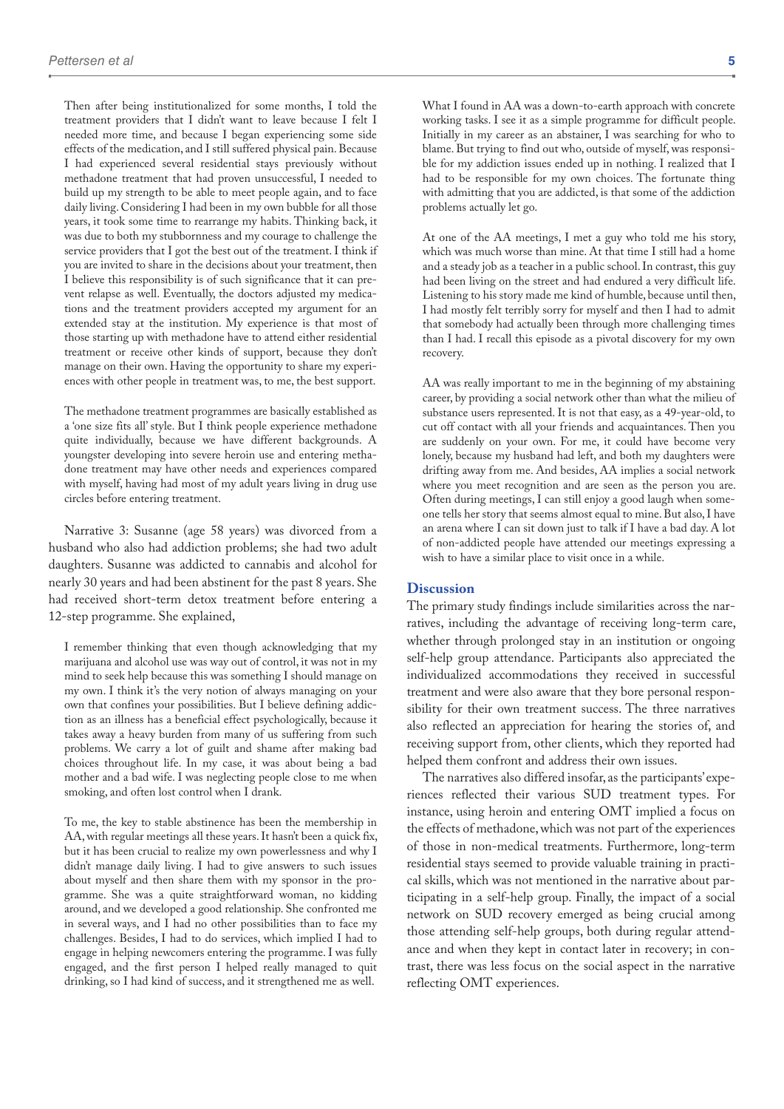Then after being institutionalized for some months, I told the treatment providers that I didn't want to leave because I felt I needed more time, and because I began experiencing some side effects of the medication, and I still suffered physical pain. Because I had experienced several residential stays previously without methadone treatment that had proven unsuccessful, I needed to build up my strength to be able to meet people again, and to face daily living. Considering I had been in my own bubble for all those years, it took some time to rearrange my habits. Thinking back, it was due to both my stubbornness and my courage to challenge the service providers that I got the best out of the treatment. I think if you are invited to share in the decisions about your treatment, then I believe this responsibility is of such significance that it can prevent relapse as well. Eventually, the doctors adjusted my medications and the treatment providers accepted my argument for an extended stay at the institution. My experience is that most of those starting up with methadone have to attend either residential treatment or receive other kinds of support, because they don't manage on their own. Having the opportunity to share my experiences with other people in treatment was, to me, the best support.

The methadone treatment programmes are basically established as a 'one size fits all' style. But I think people experience methadone quite individually, because we have different backgrounds. A youngster developing into severe heroin use and entering methadone treatment may have other needs and experiences compared with myself, having had most of my adult years living in drug use circles before entering treatment.

Narrative 3: Susanne (age 58 years) was divorced from a husband who also had addiction problems; she had two adult daughters. Susanne was addicted to cannabis and alcohol for nearly 30 years and had been abstinent for the past 8 years. She had received short-term detox treatment before entering a 12-step programme. She explained,

I remember thinking that even though acknowledging that my marijuana and alcohol use was way out of control, it was not in my mind to seek help because this was something I should manage on my own. I think it's the very notion of always managing on your own that confines your possibilities. But I believe defining addiction as an illness has a beneficial effect psychologically, because it takes away a heavy burden from many of us suffering from such problems. We carry a lot of guilt and shame after making bad choices throughout life. In my case, it was about being a bad mother and a bad wife. I was neglecting people close to me when smoking, and often lost control when I drank.

To me, the key to stable abstinence has been the membership in AA, with regular meetings all these years. It hasn't been a quick fix, but it has been crucial to realize my own powerlessness and why I didn't manage daily living. I had to give answers to such issues about myself and then share them with my sponsor in the programme. She was a quite straightforward woman, no kidding around, and we developed a good relationship. She confronted me in several ways, and I had no other possibilities than to face my challenges. Besides, I had to do services, which implied I had to engage in helping newcomers entering the programme. I was fully engaged, and the first person I helped really managed to quit drinking, so I had kind of success, and it strengthened me as well.

What I found in AA was a down-to-earth approach with concrete working tasks. I see it as a simple programme for difficult people. Initially in my career as an abstainer, I was searching for who to blame. But trying to find out who, outside of myself, was responsible for my addiction issues ended up in nothing. I realized that I had to be responsible for my own choices. The fortunate thing with admitting that you are addicted, is that some of the addiction problems actually let go.

At one of the AA meetings, I met a guy who told me his story, which was much worse than mine. At that time I still had a home and a steady job as a teacher in a public school. In contrast, this guy had been living on the street and had endured a very difficult life. Listening to his story made me kind of humble, because until then, I had mostly felt terribly sorry for myself and then I had to admit that somebody had actually been through more challenging times than I had. I recall this episode as a pivotal discovery for my own recovery.

AA was really important to me in the beginning of my abstaining career, by providing a social network other than what the milieu of substance users represented. It is not that easy, as a 49-year-old, to cut off contact with all your friends and acquaintances. Then you are suddenly on your own. For me, it could have become very lonely, because my husband had left, and both my daughters were drifting away from me. And besides, AA implies a social network where you meet recognition and are seen as the person you are. Often during meetings, I can still enjoy a good laugh when someone tells her story that seems almost equal to mine. But also, I have an arena where I can sit down just to talk if I have a bad day. A lot of non-addicted people have attended our meetings expressing a wish to have a similar place to visit once in a while.

#### **Discussion**

The primary study findings include similarities across the narratives, including the advantage of receiving long-term care, whether through prolonged stay in an institution or ongoing self-help group attendance. Participants also appreciated the individualized accommodations they received in successful treatment and were also aware that they bore personal responsibility for their own treatment success. The three narratives also reflected an appreciation for hearing the stories of, and receiving support from, other clients, which they reported had helped them confront and address their own issues.

The narratives also differed insofar, as the participants' experiences reflected their various SUD treatment types. For instance, using heroin and entering OMT implied a focus on the effects of methadone, which was not part of the experiences of those in non-medical treatments. Furthermore, long-term residential stays seemed to provide valuable training in practical skills, which was not mentioned in the narrative about participating in a self-help group. Finally, the impact of a social network on SUD recovery emerged as being crucial among those attending self-help groups, both during regular attendance and when they kept in contact later in recovery; in contrast, there was less focus on the social aspect in the narrative reflecting OMT experiences.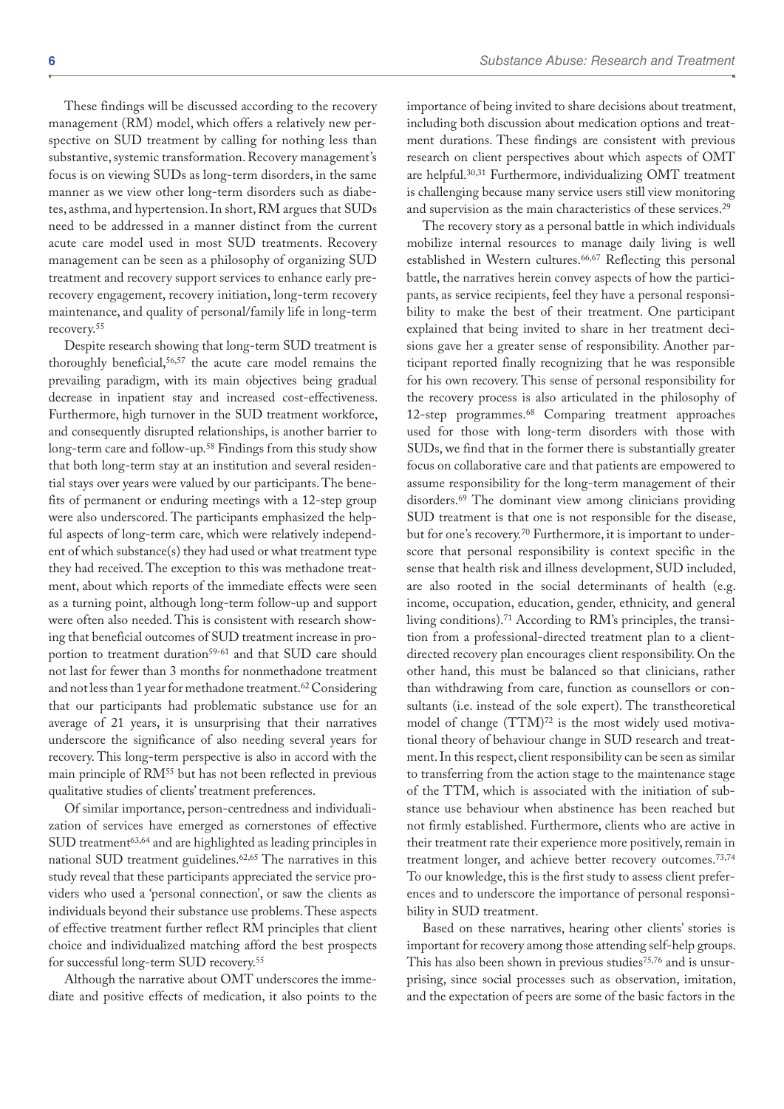These findings will be discussed according to the recovery management (RM) model, which offers a relatively new perspective on SUD treatment by calling for nothing less than substantive, systemic transformation. Recovery management's focus is on viewing SUDs as long-term disorders, in the same manner as we view other long-term disorders such as diabetes, asthma, and hypertension. In short, RM argues that SUDs need to be addressed in a manner distinct from the current acute care model used in most SUD treatments. Recovery management can be seen as a philosophy of organizing SUD treatment and recovery support services to enhance early prerecovery engagement, recovery initiation, long-term recovery maintenance, and quality of personal/family life in long-term recovery.55

Despite research showing that long-term SUD treatment is thoroughly beneficial,56,57 the acute care model remains the prevailing paradigm, with its main objectives being gradual decrease in inpatient stay and increased cost-effectiveness. Furthermore, high turnover in the SUD treatment workforce, and consequently disrupted relationships, is another barrier to long-term care and follow-up.58 Findings from this study show that both long-term stay at an institution and several residential stays over years were valued by our participants. The benefits of permanent or enduring meetings with a 12-step group were also underscored. The participants emphasized the helpful aspects of long-term care, which were relatively independent of which substance(s) they had used or what treatment type they had received. The exception to this was methadone treatment, about which reports of the immediate effects were seen as a turning point, although long-term follow-up and support were often also needed. This is consistent with research showing that beneficial outcomes of SUD treatment increase in proportion to treatment duration<sup>59-61</sup> and that SUD care should not last for fewer than 3 months for nonmethadone treatment and not less than 1 year for methadone treatment.<sup>62</sup> Considering that our participants had problematic substance use for an average of 21 years, it is unsurprising that their narratives underscore the significance of also needing several years for recovery. This long-term perspective is also in accord with the main principle of RM55 but has not been reflected in previous qualitative studies of clients' treatment preferences.

Of similar importance, person-centredness and individualization of services have emerged as cornerstones of effective SUD treatment<sup>63,64</sup> and are highlighted as leading principles in national SUD treatment guidelines.62,65 The narratives in this study reveal that these participants appreciated the service providers who used a 'personal connection', or saw the clients as individuals beyond their substance use problems. These aspects of effective treatment further reflect RM principles that client choice and individualized matching afford the best prospects for successful long-term SUD recovery.55

Although the narrative about OMT underscores the immediate and positive effects of medication, it also points to the importance of being invited to share decisions about treatment, including both discussion about medication options and treatment durations. These findings are consistent with previous research on client perspectives about which aspects of OMT are helpful.30,31 Furthermore, individualizing OMT treatment is challenging because many service users still view monitoring and supervision as the main characteristics of these services.29

The recovery story as a personal battle in which individuals mobilize internal resources to manage daily living is well established in Western cultures.<sup>66,67</sup> Reflecting this personal battle, the narratives herein convey aspects of how the participants, as service recipients, feel they have a personal responsibility to make the best of their treatment. One participant explained that being invited to share in her treatment decisions gave her a greater sense of responsibility. Another participant reported finally recognizing that he was responsible for his own recovery. This sense of personal responsibility for the recovery process is also articulated in the philosophy of 12-step programmes.68 Comparing treatment approaches used for those with long-term disorders with those with SUDs, we find that in the former there is substantially greater focus on collaborative care and that patients are empowered to assume responsibility for the long-term management of their disorders.69 The dominant view among clinicians providing SUD treatment is that one is not responsible for the disease, but for one's recovery.<sup>70</sup> Furthermore, it is important to underscore that personal responsibility is context specific in the sense that health risk and illness development, SUD included, are also rooted in the social determinants of health (e.g. income, occupation, education, gender, ethnicity, and general living conditions).71 According to RM's principles, the transition from a professional-directed treatment plan to a clientdirected recovery plan encourages client responsibility. On the other hand, this must be balanced so that clinicians, rather than withdrawing from care, function as counsellors or consultants (i.e. instead of the sole expert). The transtheoretical model of change (TTM)<sup>72</sup> is the most widely used motivational theory of behaviour change in SUD research and treatment. In this respect, client responsibility can be seen as similar to transferring from the action stage to the maintenance stage of the TTM, which is associated with the initiation of substance use behaviour when abstinence has been reached but not firmly established. Furthermore, clients who are active in their treatment rate their experience more positively, remain in treatment longer, and achieve better recovery outcomes.73,74 To our knowledge, this is the first study to assess client preferences and to underscore the importance of personal responsibility in SUD treatment.

Based on these narratives, hearing other clients' stories is important for recovery among those attending self-help groups. This has also been shown in previous studies<sup>75,76</sup> and is unsurprising, since social processes such as observation, imitation, and the expectation of peers are some of the basic factors in the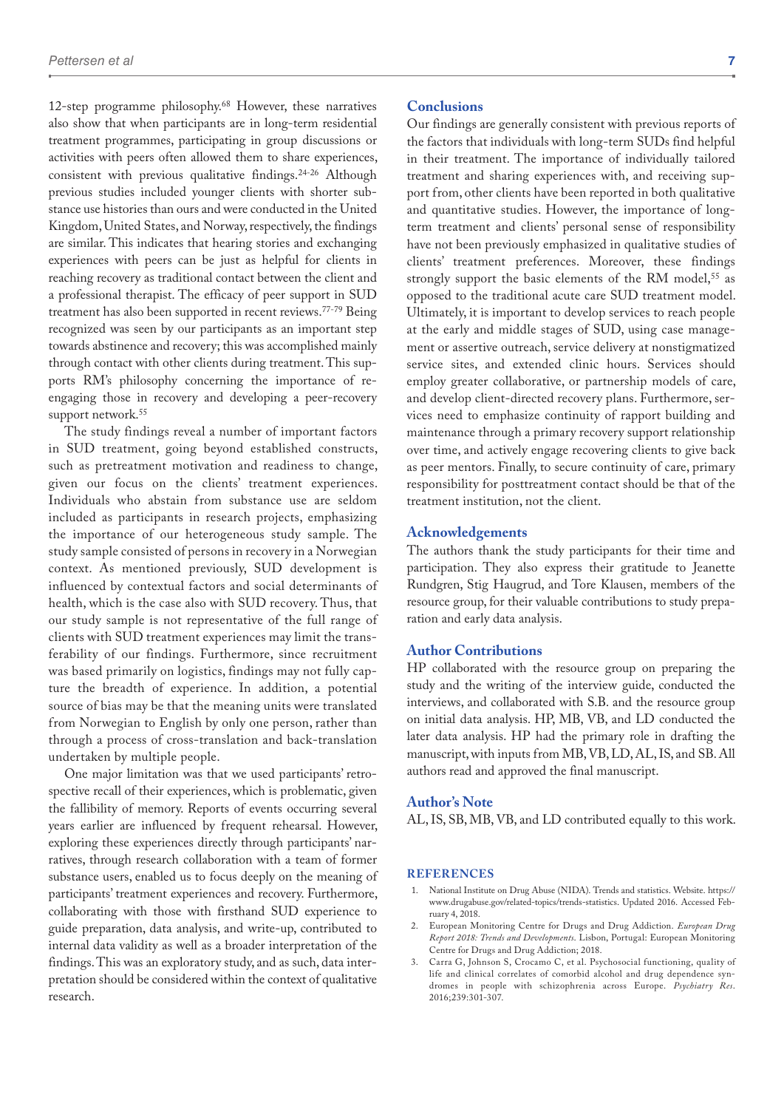12-step programme philosophy.68 However, these narratives also show that when participants are in long-term residential treatment programmes, participating in group discussions or activities with peers often allowed them to share experiences, consistent with previous qualitative findings.24-26 Although previous studies included younger clients with shorter substance use histories than ours and were conducted in the United Kingdom, United States, and Norway, respectively, the findings are similar. This indicates that hearing stories and exchanging experiences with peers can be just as helpful for clients in reaching recovery as traditional contact between the client and a professional therapist. The efficacy of peer support in SUD treatment has also been supported in recent reviews.77-79 Being recognized was seen by our participants as an important step towards abstinence and recovery; this was accomplished mainly through contact with other clients during treatment. This supports RM's philosophy concerning the importance of reengaging those in recovery and developing a peer-recovery support network.<sup>55</sup>

The study findings reveal a number of important factors in SUD treatment, going beyond established constructs, such as pretreatment motivation and readiness to change, given our focus on the clients' treatment experiences. Individuals who abstain from substance use are seldom included as participants in research projects, emphasizing the importance of our heterogeneous study sample. The study sample consisted of persons in recovery in a Norwegian context. As mentioned previously, SUD development is influenced by contextual factors and social determinants of health, which is the case also with SUD recovery. Thus, that our study sample is not representative of the full range of clients with SUD treatment experiences may limit the transferability of our findings. Furthermore, since recruitment was based primarily on logistics, findings may not fully capture the breadth of experience. In addition, a potential source of bias may be that the meaning units were translated from Norwegian to English by only one person, rather than through a process of cross-translation and back-translation undertaken by multiple people.

One major limitation was that we used participants' retrospective recall of their experiences, which is problematic, given the fallibility of memory. Reports of events occurring several years earlier are influenced by frequent rehearsal. However, exploring these experiences directly through participants' narratives, through research collaboration with a team of former substance users, enabled us to focus deeply on the meaning of participants' treatment experiences and recovery. Furthermore, collaborating with those with firsthand SUD experience to guide preparation, data analysis, and write-up, contributed to internal data validity as well as a broader interpretation of the findings. This was an exploratory study, and as such, data interpretation should be considered within the context of qualitative research.

#### **Conclusions**

Our findings are generally consistent with previous reports of the factors that individuals with long-term SUDs find helpful in their treatment. The importance of individually tailored treatment and sharing experiences with, and receiving support from, other clients have been reported in both qualitative and quantitative studies. However, the importance of longterm treatment and clients' personal sense of responsibility have not been previously emphasized in qualitative studies of clients' treatment preferences. Moreover, these findings strongly support the basic elements of the RM model,<sup>55</sup> as opposed to the traditional acute care SUD treatment model. Ultimately, it is important to develop services to reach people at the early and middle stages of SUD, using case management or assertive outreach, service delivery at nonstigmatized service sites, and extended clinic hours. Services should employ greater collaborative, or partnership models of care, and develop client-directed recovery plans. Furthermore, services need to emphasize continuity of rapport building and maintenance through a primary recovery support relationship over time, and actively engage recovering clients to give back as peer mentors. Finally, to secure continuity of care, primary responsibility for posttreatment contact should be that of the treatment institution, not the client.

#### **Acknowledgements**

The authors thank the study participants for their time and participation. They also express their gratitude to Jeanette Rundgren, Stig Haugrud, and Tore Klausen, members of the resource group, for their valuable contributions to study preparation and early data analysis.

#### **Author Contributions**

HP collaborated with the resource group on preparing the study and the writing of the interview guide, conducted the interviews, and collaborated with S.B. and the resource group on initial data analysis. HP, MB, VB, and LD conducted the later data analysis. HP had the primary role in drafting the manuscript, with inputs from MB, VB, LD, AL, IS, and SB. All authors read and approved the final manuscript.

#### **Author's Note**

AL, IS, SB, MB, VB, and LD contributed equally to this work.

#### **References**

- 1. National Institute on Drug Abuse (NIDA). Trends and statistics. Website. [https://](https://www.drugabuse.gov/related-topics/trends-statistics) [www.drugabuse.gov/related-topics/trends-statistics.](https://www.drugabuse.gov/related-topics/trends-statistics) Updated 2016. Accessed February 4, 2018.
- 2. European Monitoring Centre for Drugs and Drug Addiction. *European Drug Report 2018: Trends and Developments*. Lisbon, Portugal: European Monitoring Centre for Drugs and Drug Addiction; 2018.
- 3. Carra G, Johnson S, Crocamo C, et al. Psychosocial functioning, quality of life and clinical correlates of comorbid alcohol and drug dependence syndromes in people with schizophrenia across Europe. *Psychiatry Res*. 2016;239:301-307.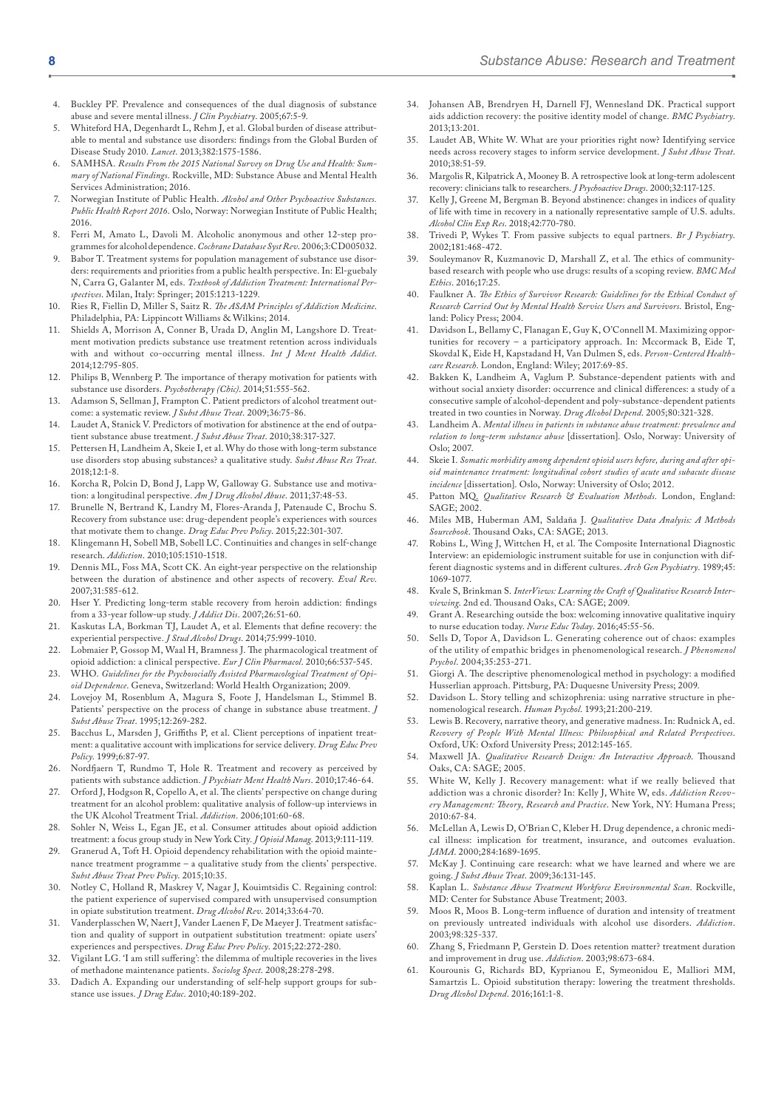- 4. Buckley PF. Prevalence and consequences of the dual diagnosis of substance abuse and severe mental illness. *J Clin Psychiatry*. 2005;67:5-9.
- Whiteford HA, Degenhardt L, Rehm J, et al. Global burden of disease attributable to mental and substance use disorders: findings from the Global Burden of Disease Study 2010. *Lancet*. 2013;382:1575-1586.
- 6. SAMHSA. *Results From the 2015 National Survey on Drug Use and Health: Summary of National Findings*. Rockville, MD: Substance Abuse and Mental Health Services Administration; 2016.
- 7. Norwegian Institute of Public Health. *Alcohol and Other Psychoactive Substances. Public Health Report 2016*. Oslo, Norway: Norwegian Institute of Public Health; 2016.
- 8. Ferri M, Amato L, Davoli M. Alcoholic anonymous and other 12-step programmes for alcohol dependence. *Cochrane Database Syst Rev*. 2006;3:CD005032.
- Babor T. Treatment systems for population management of substance use disorders: requirements and priorities from a public health perspective. In: El-guebaly N, Carra G, Galanter M, eds. *Textbook of Addiction Treatment: International Perspectives*. Milan, Italy: Springer; 2015:1213-1229.
- 10. Ries R, Fiellin D, Miller S, Saitz R. *The ASAM Principles of Addiction Medicine*. Philadelphia, PA: Lippincott Williams & Wilkins; 2014.
- 11. Shields A, Morrison A, Conner B, Urada D, Anglin M, Langshore D. Treatment motivation predicts substance use treatment retention across individuals with and without co-occurring mental illness. *Int J Ment Health Addict*. 2014;12:795-805.
- 12. Philips B, Wennberg P. The importance of therapy motivation for patients with substance use disorders. *Psychotherapy (Chic)*. 2014;51:555-562.
- 13. Adamson S, Sellman J, Frampton C. Patient predictors of alcohol treatment outcome: a systematic review. *J Subst Abuse Treat*. 2009;36:75-86.
- Laudet A, Stanick V. Predictors of motivation for abstinence at the end of outpatient substance abuse treatment. *J Subst Abuse Treat*. 2010;38:317-327.
- 15. Pettersen H, Landheim A, Skeie I, et al. Why do those with long-term substance use disorders stop abusing substances? a qualitative study. *Subst Abuse Res Treat*. 2018;12:1-8.
- 16. Korcha R, Polcin D, Bond J, Lapp W, Galloway G. Substance use and motivation: a longitudinal perspective. *Am J Drug Alcohol Abuse*. 2011;37:48-53.
- 17. Brunelle N, Bertrand K, Landry M, Flores-Aranda J, Patenaude C, Brochu S. Recovery from substance use: drug-dependent people's experiences with sources that motivate them to change. *Drug Educ Prev Policy*. 2015;22:301-307.
- Klingemann H, Sobell MB, Sobell LC. Continuities and changes in self-change research. *Addiction*. 2010;105:1510-1518.
- 19. Dennis ML, Foss MA, Scott CK. An eight-year perspective on the relationship between the duration of abstinence and other aspects of recovery. *Eval Rev*. 2007;31:585-612.
- Hser Y. Predicting long-term stable recovery from heroin addiction: findings from a 33-year follow-up study. *J Addict Dis*. 2007;26:51-60.
- 21. Kaskutas LA, Borkman TJ, Laudet A, et al. Elements that define recovery: the experiential perspective. *J Stud Alcohol Drugs*. 2014;75:999-1010.
- 22. Lobmaier P, Gossop M, Waal H, Bramness J. The pharmacological treatment of opioid addiction: a clinical perspective. *Eur J Clin Pharmacol*. 2010;66:537-545.
- 23. WHO. *Guidelines for the Psychosocially Assisted Pharmacological Treatment of Opioid Dependence*. Geneva, Switzerland: World Health Organization; 2009.
- 24. Lovejoy M, Rosenblum A, Magura S, Foote J, Handelsman L, Stimmel B. Patients' perspective on the process of change in substance abuse treatment. *J Subst Abuse Treat*. 1995;12:269-282.
- 25. Bacchus L, Marsden J, Griffiths P, et al. Client perceptions of inpatient treatment: a qualitative account with implications for service delivery. *Drug Educ Prev Policy*. 1999;6:87-97.
- 26. Nordfjaern T, Rundmo T, Hole R. Treatment and recovery as perceived by patients with substance addiction. *J Psychiatr Ment Health Nurs*. 2010;17:46-64.
- 27. Orford J, Hodgson R, Copello A, et al. The clients' perspective on change during treatment for an alcohol problem: qualitative analysis of follow-up interviews in the UK Alcohol Treatment Trial. *Addiction*. 2006;101:60-68.
- 28. Sohler N, Weiss L, Egan JE, et al. Consumer attitudes about opioid addiction treatment: a focus group study in New York City. *J Opioid Manag*. 2013;9:111-119.
- 29. Granerud A, Toft H. Opioid dependency rehabilitation with the opioid maintenance treatment programme – a qualitative study from the clients' perspective. *Subst Abuse Treat Prev Policy*. 2015;10:35.
- 30. Notley C, Holland R, Maskrey V, Nagar J, Kouimtsidis C. Regaining control: the patient experience of supervised compared with unsupervised consumption in opiate substitution treatment. *Drug Alcohol Rev*. 2014;33:64-70.
- 31. Vanderplasschen W, Naert J, Vander Laenen F, De Maeyer J. Treatment satisfaction and quality of support in outpatient substitution treatment: opiate users' experiences and perspectives. *Drug Educ Prev Policy*. 2015;22:272-280.
- 32. Vigilant LG. 'I am still suffering': the dilemma of multiple recoveries in the lives of methadone maintenance patients. *Sociolog Spect*. 2008;28:278-298.
- Dadich A. Expanding our understanding of self-help support groups for substance use issues. *J Drug Educ*. 2010;40:189-202.
- 34. Johansen AB, Brendryen H, Darnell FJ, Wennesland DK. Practical support aids addiction recovery: the positive identity model of change. *BMC Psychiatry*. 2013;13:201.
- Laudet AB, White W. What are your priorities right now? Identifying service needs across recovery stages to inform service development. *J Subst Abuse Treat*. 2010;38:51-59.
- 36. Margolis R, Kilpatrick A, Mooney B. A retrospective look at long-term adolescent recovery: clinicians talk to researchers. *J Psychoactive Drugs*. 2000;32:117-125.
- Kelly J, Greene M, Bergman B. Beyond abstinence: changes in indices of quality of life with time in recovery in a nationally representative sample of U.S. adults. *Alcohol Clin Exp Res*. 2018;42:770-780.
- 38. Trivedi P, Wykes T. From passive subjects to equal partners. *Br J Psychiatry*. 2002;181:468-472.
- 39. Souleymanov R, Kuzmanovic D, Marshall Z, et al. The ethics of communitybased research with people who use drugs: results of a scoping review. *BMC Med Ethics*. 2016;17:25.
- 40. Faulkner A. *The Ethics of Survivor Research: Guidelines for the Ethical Conduct of Research Carried Out by Mental Health Service Users and Survivors*. Bristol, England: Policy Press; 2004.
- 41. Davidson L, Bellamy C, Flanagan E, Guy K, O'Connell M. Maximizing opportunities for recovery – a participatory approach. In: Mccormack B, Eide T, Skovdal K, Eide H, Kapstadand H, Van Dulmen S, eds. *Person-Centered Healthcare Research*. London, England: Wiley; 2017:69-85.
- Bakken K, Landheim A, Vaglum P. Substance-dependent patients with and without social anxiety disorder: occurrence and clinical differences: a study of a consecutive sample of alcohol-dependent and poly-substance-dependent patients treated in two counties in Norway. *Drug Alcohol Depend*. 2005;80:321-328.
- 43. Landheim A. *Mental illness in patients in substance abuse treatment: prevalence and relation to long-term substance abuse* [dissertation]. Oslo, Norway: University of Oslo; 2007.
- 44. Skeie I. *Somatic morbidity among dependent opioid users before, during and after opioid maintenance treatment: longitudinal cohort studies of acute and subacute disease incidence* [dissertation]. Oslo, Norway: University of Oslo; 2012.
- 45. Patton MQ. *Qualitative Research & Evaluation Methods*. London, England: SAGE; 2002.
- 46. Miles MB, Huberman AM, Saldaña J. *Qualitative Data Analysis: A Methods Sourcebook*. Thousand Oaks, CA: SAGE; 2013.
- Robins L, Wing J, Wittchen H, et al. The Composite International Diagnostic Interview: an epidemiologic instrument suitable for use in conjunction with different diagnostic systems and in different cultures. *Arch Gen Psychiatry*. 1989;45: 1069-1077.
- 48. Kvale S, Brinkman S. *InterViews: Learning the Craft of Qualitative Research Interviewing*. 2nd ed. Thousand Oaks, CA: SAGE; 2009.
- 49. Grant A. Researching outside the box: welcoming innovative qualitative inquiry to nurse education today. *Nurse Educ Today*. 2016;45:55-56.
- 50. Sells D, Topor A, Davidson L. Generating coherence out of chaos: examples of the utility of empathic bridges in phenomenological research. *J Phenomenol Psychol*. 2004;35:253-271.
- 51. Giorgi A. The descriptive phenomenological method in psychology: a modified Husserlian approach. Pittsburg, PA: Duquesne University Press; 2009.
- 52. Davidson L. Story telling and schizophrenia: using narrative structure in phenomenological research. *Human Psychol*. 1993;21:200-219.
- 53. Lewis B. Recovery, narrative theory, and generative madness. In: Rudnick A, ed. *Recovery of People With Mental Illness: Philosophical and Related Perspectives*. Oxford, UK: Oxford University Press; 2012:145-165.
- 54. Maxwell JA. *Qualitative Research Design: An Interactive Approach*. Thousand Oaks, CA: SAGE; 2005.
- 55. White W, Kelly J. Recovery management: what if we really believed that addiction was a chronic disorder? In: Kelly J, White W, eds. *Addiction Recovery Management: Theory, Research and Practice*. New York, NY: Humana Press; 2010:67-84.
- 56. McLellan A, Lewis D, O'Brian C, Kleber H. Drug dependence, a chronic medical illness: implication for treatment, insurance, and outcomes evaluation. *JAMA*. 2000;284:1689-1695.
- McKay J. Continuing care research: what we have learned and where we are going. *J Subst Abuse Treat*. 2009;36:131-145.
- 58. Kaplan L. *Substance Abuse Treatment Workforce Environmental Scan*. Rockville, MD: Center for Substance Abuse Treatment; 2003.
- 59. Moos R, Moos B. Long-term influence of duration and intensity of treatment on previously untreated individuals with alcohol use disorders. *Addiction*. 2003;98:325-337.
- 60. Zhang S, Friedmann P, Gerstein D. Does retention matter? treatment duration and improvement in drug use. *Addiction*. 2003;98:673-684.
- 61. Kourounis G, Richards BD, Kyprianou E, Symeonidou E, Malliori MM, Samartzis L. Opioid substitution therapy: lowering the treatment thresholds. *Drug Alcohol Depend*. 2016;161:1-8.